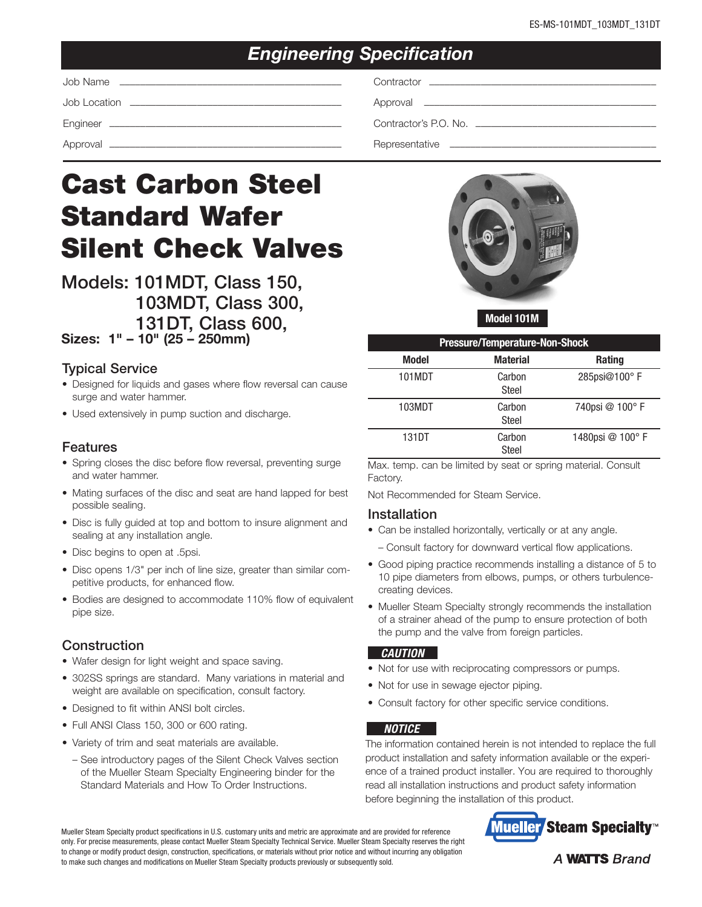## *Engineering Specification*

Job Name ––––––––––––––––––––––––––––––––––––––––––– Contractor ––––––––––––––––––––––––––––––––––––––––––––

Job Location ––––––––––––––––––––––––––––––––––––––––– Approval –––––––––––––––––––––––––––––––––––––––––––––

Engineer ––––––––––––––––––––––––––––––––––––––––––––– Contractor's P.O. No. –––––––––––––––––––––––––––––––––––

Approval ––––––––––––––––––––––––––––––––––––––––––––– Representative ––––––––––––––––––––––––––––––––––––––––

# Cast Carbon Steel Standard Wafer Silent Check Valves

Models: 101MDT, Class 150, 103MDT, Class 300, 131DT, Class 600, Sizes: 1" – 10" (25 – 250mm)

### Typical Service

- Designed for liquids and gases where flow reversal can cause surge and water hammer.
- Used extensively in pump suction and discharge.

#### Features

- Spring closes the disc before flow reversal, preventing surge and water hammer.
- Mating surfaces of the disc and seat are hand lapped for best possible sealing.
- Disc is fully guided at top and bottom to insure alignment and sealing at any installation angle.
- Disc begins to open at .5psi.
- Disc opens 1/3" per inch of line size, greater than similar competitive products, for enhanced flow.
- Bodies are designed to accommodate 110% flow of equivalent pipe size.

#### **Construction**

- Wafer design for light weight and space saving.
- 302SS springs are standard. Many variations in material and weight are available on specification, consult factory.
- Designed to fit within ANSI bolt circles.
- Full ANSI Class 150, 300 or 600 rating.
- Variety of trim and seat materials are available.
	- See introductory pages of the Silent Check Valves section of the Mueller Steam Specialty Engineering binder for the Standard Materials and How To Order Instructions.



Model 101M

| <b>Pressure/Temperature-Non-Shock</b> |                 |                 |  |  |  |
|---------------------------------------|-----------------|-----------------|--|--|--|
| <b>Model</b>                          | <b>Material</b> | <b>Rating</b>   |  |  |  |
| 101MDT                                | Carbon<br>Steel | 285psi@100°F    |  |  |  |
| 103MDT                                | Carbon<br>Steel | 740psi @ 100°F  |  |  |  |
| 131DT                                 | Carbon<br>Steel | 1480psi @ 100°F |  |  |  |

Max. temp. can be limited by seat or spring material. Consult Factory.

Not Recommended for Steam Service.

#### Installation

- Can be installed horizontally, vertically or at any angle.
- Consult factory for downward vertical flow applications.
- Good piping practice recommends installing a distance of 5 to 10 pipe diameters from elbows, pumps, or others turbulencecreating devices.
- Mueller Steam Specialty strongly recommends the installation of a strainer ahead of the pump to ensure protection of both the pump and the valve from foreign particles.

#### *CAUTION*

- Not for use with reciprocating compressors or pumps.
- Not for use in sewage ejector piping.
- Consult factory for other specific service conditions.

#### *NOTICE*

The information contained herein is not intended to replace the full product installation and safety information available or the experience of a trained product installer. You are required to thoroughly read all installation instructions and product safety information before beginning the installation of this product.



Mueller Steam Specialty product specifications in U.S. customary units and metric are approximate and are provided for reference only. For precise measurements, please contact Mueller Steam Specialty Technical Service. Mueller Steam Specialty reserves the right to change or modify product design, construction, specifications, or materials without prior notice and without incurring any obligation to make such changes and modifications on Mueller Steam Specialty products previously or subsequently sold.

#### **A WATTS Brand**